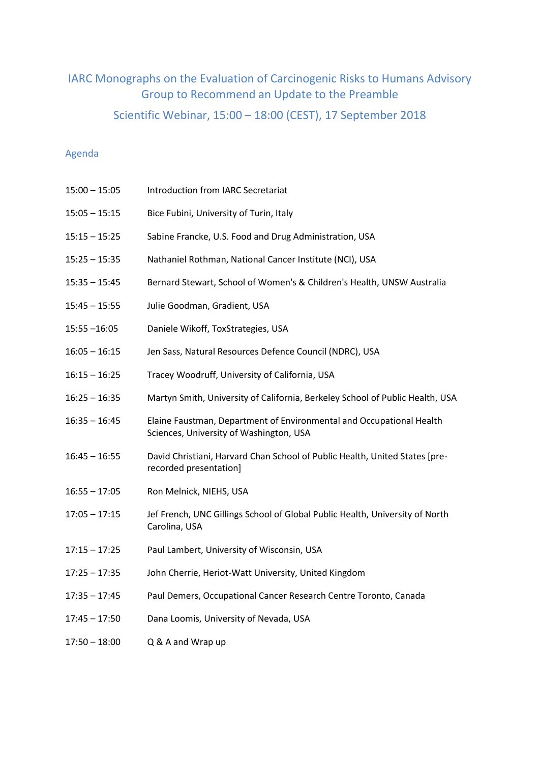# IARC Monographs on the Evaluation of Carcinogenic Risks to Humans Advisory Group to Recommend an Update to the Preamble

Scientific Webinar, 15:00 – 18:00 (CEST), 17 September 2018

# Agenda

| $15:00 - 15:05$ | Introduction from IARC Secretariat                                                                              |
|-----------------|-----------------------------------------------------------------------------------------------------------------|
| $15:05 - 15:15$ | Bice Fubini, University of Turin, Italy                                                                         |
| $15:15 - 15:25$ | Sabine Francke, U.S. Food and Drug Administration, USA                                                          |
| $15:25 - 15:35$ | Nathaniel Rothman, National Cancer Institute (NCI), USA                                                         |
| $15:35 - 15:45$ | Bernard Stewart, School of Women's & Children's Health, UNSW Australia                                          |
| $15:45 - 15:55$ | Julie Goodman, Gradient, USA                                                                                    |
| $15:55 - 16:05$ | Daniele Wikoff, ToxStrategies, USA                                                                              |
| $16:05 - 16:15$ | Jen Sass, Natural Resources Defence Council (NDRC), USA                                                         |
| $16:15 - 16:25$ | Tracey Woodruff, University of California, USA                                                                  |
| $16:25 - 16:35$ | Martyn Smith, University of California, Berkeley School of Public Health, USA                                   |
| $16:35 - 16:45$ | Elaine Faustman, Department of Environmental and Occupational Health<br>Sciences, University of Washington, USA |
| $16:45 - 16:55$ | David Christiani, Harvard Chan School of Public Health, United States [pre-<br>recorded presentation]           |
| $16:55 - 17:05$ | Ron Melnick, NIEHS, USA                                                                                         |
| $17:05 - 17:15$ | Jef French, UNC Gillings School of Global Public Health, University of North<br>Carolina, USA                   |
| $17:15 - 17:25$ | Paul Lambert, University of Wisconsin, USA                                                                      |
| $17:25 - 17:35$ | John Cherrie, Heriot-Watt University, United Kingdom                                                            |
| $17:35 - 17:45$ | Paul Demers, Occupational Cancer Research Centre Toronto, Canada                                                |
| $17:45 - 17:50$ | Dana Loomis, University of Nevada, USA                                                                          |
|                 |                                                                                                                 |

17:50 – 18:00 Q & A and Wrap up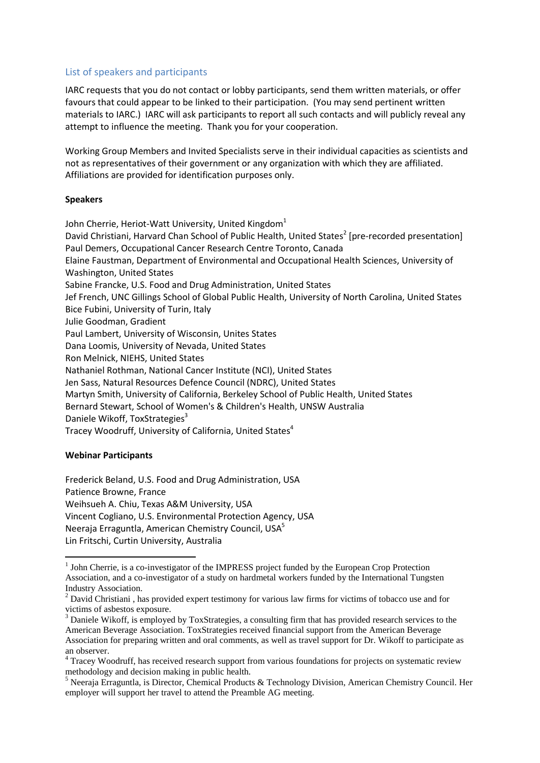# List of speakers and participants

IARC requests that you do not contact or lobby participants, send them written materials, or offer favours that could appear to be linked to their participation. (You may send pertinent written materials to IARC.) IARC will ask participants to report all such contacts and will publicly reveal any attempt to influence the meeting. Thank you for your cooperation.

Working Group Members and Invited Specialists serve in their individual capacities as scientists and not as representatives of their government or any organization with which they are affiliated. Affiliations are provided for identification purposes only.

#### **Speakers**

John Cherrie, Heriot-Watt University, United Kingdom<sup>1</sup> David Christiani, Harvard Chan School of Public Health, United States<sup>2</sup> [pre-recorded presentation] Paul Demers, Occupational Cancer Research Centre Toronto, Canada Elaine Faustman, Department of Environmental and Occupational Health Sciences, University of Washington, United States Sabine Francke, U.S. Food and Drug Administration, United States Jef French, UNC Gillings School of Global Public Health, University of North Carolina, United States Bice Fubini, University of Turin, Italy Julie Goodman, Gradient Paul Lambert, University of Wisconsin, Unites States Dana Loomis, University of Nevada, United States Ron Melnick, NIEHS, United States Nathaniel Rothman, National Cancer Institute (NCI), United States Jen Sass, Natural Resources Defence Council (NDRC), United States Martyn Smith, University of California, Berkeley School of Public Health, United States Bernard Stewart, School of Women's & Children's Health, UNSW Australia Daniele Wikoff, ToxStrategies<sup>3</sup> Tracey Woodruff, University of California, United States<sup>4</sup>

## **Webinar Participants**

1

Frederick Beland, U.S. Food and Drug Administration, USA Patience Browne, France Weihsueh A. Chiu, Texas A&M University, USA Vincent Cogliano, U.S. Environmental Protection Agency, USA Neeraja Erraguntla, American Chemistry Council, USA<sup>5</sup> Lin Fritschi, Curtin University, Australia

<sup>&</sup>lt;sup>1</sup> John Cherrie, is a co-investigator of the IMPRESS project funded by the European Crop Protection Association, and a co-investigator of a study on hardmetal workers funded by the International Tungsten Industry Association.

<sup>&</sup>lt;sup>2</sup> David Christiani, has provided expert testimony for various law firms for victims of tobacco use and for victims of asbestos exposure.

<sup>&</sup>lt;sup>3</sup> Daniele Wikoff, is employed by ToxStrategies, a consulting firm that has provided research services to the American Beverage Association. ToxStrategies received financial support from the American Beverage Association for preparing written and oral comments, as well as travel support for Dr. Wikoff to participate as an observer.

<sup>&</sup>lt;sup>4</sup> Tracey Woodruff, has received research support from various foundations for projects on systematic review methodology and decision making in public health.

<sup>5</sup> Neeraja Erraguntla, is Director, Chemical Products & Technology Division, American Chemistry Council. Her employer will support her travel to attend the Preamble AG meeting.